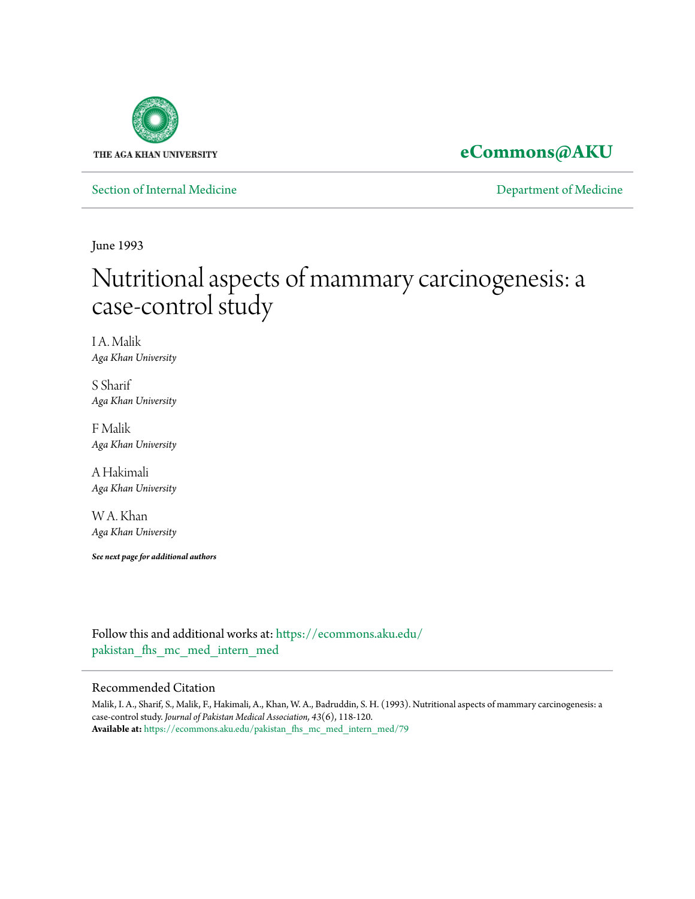

**[eCommons@AKU](https://ecommons.aku.edu?utm_source=ecommons.aku.edu%2Fpakistan_fhs_mc_med_intern_med%2F79&utm_medium=PDF&utm_campaign=PDFCoverPages)**

[Section of Internal Medicine](https://ecommons.aku.edu/pakistan_fhs_mc_med_intern_med?utm_source=ecommons.aku.edu%2Fpakistan_fhs_mc_med_intern_med%2F79&utm_medium=PDF&utm_campaign=PDFCoverPages) **Section** [Department of Medicine](https://ecommons.aku.edu/pakistan_fhs_mc_med?utm_source=ecommons.aku.edu%2Fpakistan_fhs_mc_med_intern_med%2F79&utm_medium=PDF&utm_campaign=PDFCoverPages)

June 1993

# Nutritional aspects of mammary carcinogenesis: a case-control study

I A. Malik *Aga Khan University*

S Sharif *Aga Khan University*

F Malik *Aga Khan University*

A Hakimali *Aga Khan University*

W A. Khan *Aga Khan University*

*See next page for additional authors*

Follow this and additional works at: [https://ecommons.aku.edu/](https://ecommons.aku.edu/pakistan_fhs_mc_med_intern_med?utm_source=ecommons.aku.edu%2Fpakistan_fhs_mc_med_intern_med%2F79&utm_medium=PDF&utm_campaign=PDFCoverPages) pakistan fhs mc med intern med

#### Recommended Citation

Malik, I. A., Sharif, S., Malik, F., Hakimali, A., Khan, W. A., Badruddin, S. H. (1993). Nutritional aspects of mammary carcinogenesis: a case-control study. *Journal of Pakistan Medical Association, 43*(6), 118-120. **Available at:** [https://ecommons.aku.edu/pakistan\\_fhs\\_mc\\_med\\_intern\\_med/79](https://ecommons.aku.edu/pakistan_fhs_mc_med_intern_med/79)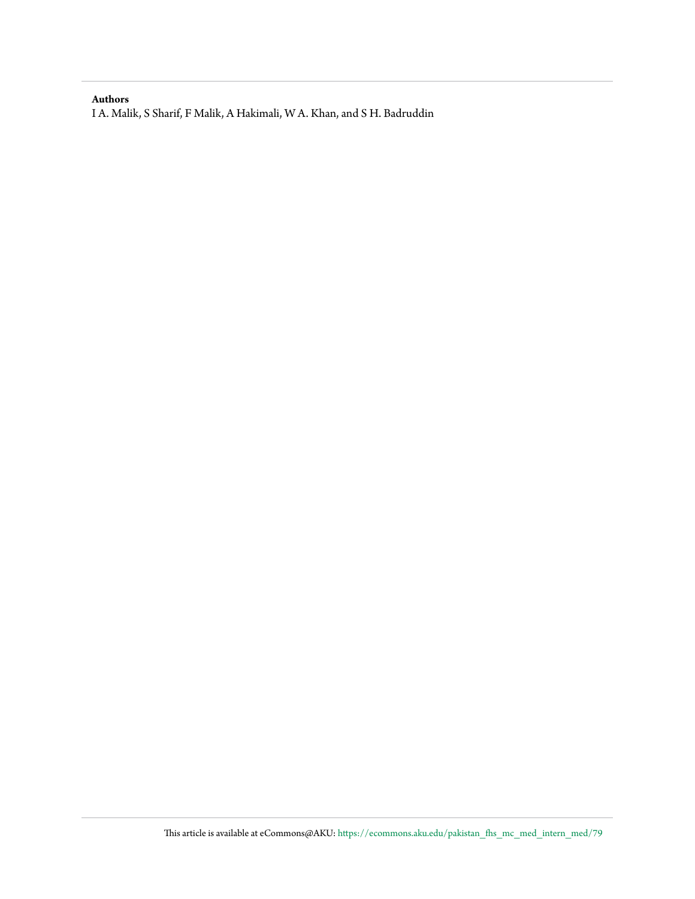#### **Authors**

I A. Malik, S Sharif, F Malik, A Hakimali, W A. Khan, and S H. Badruddin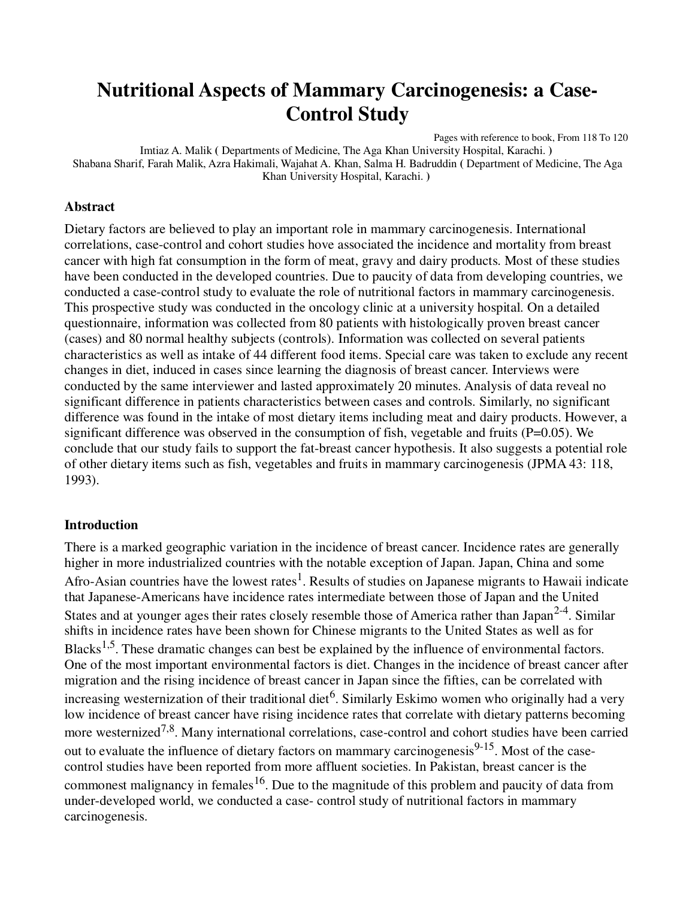# **Nutritional Aspects of Mammary Carcinogenesis: a Case-Control Study**

Pages with reference to book, From 118 To 120 Imtiaz A. Malik **(** Departments of Medicine, The Aga Khan University Hospital, Karachi. **)**  Shabana Sharif, Farah Malik, Azra Hakimali, Wajahat A. Khan, Salma H. Badruddin **(** Department of Medicine, The Aga Khan University Hospital, Karachi. **)** 

#### **Abstract**

Dietary factors are believed to play an important role in mammary carcinogenesis. International correlations, case-control and cohort studies hove associated the incidence and mortality from breast cancer with high fat consumption in the form of meat, gravy and dairy products. Most of these studies have been conducted in the developed countries. Due to paucity of data from developing countries, we conducted a case-control study to evaluate the role of nutritional factors in mammary carcinogenesis. This prospective study was conducted in the oncology clinic at a university hospital. On a detailed questionnaire, information was collected from 80 patients with histologically proven breast cancer (cases) and 80 normal healthy subjects (controls). Information was collected on several patients characteristics as well as intake of 44 different food items. Special care was taken to exclude any recent changes in diet, induced in cases since learning the diagnosis of breast cancer. Interviews were conducted by the same interviewer and lasted approximately 20 minutes. Analysis of data reveal no significant difference in patients characteristics between cases and controls. Similarly, no significant difference was found in the intake of most dietary items including meat and dairy products. However, a significant difference was observed in the consumption of fish, vegetable and fruits (P=0.05). We conclude that our study fails to support the fat-breast cancer hypothesis. It also suggests a potential role of other dietary items such as fish, vegetables and fruits in mammary carcinogenesis (JPMA 43: 118, 1993).

#### **Introduction**

There is a marked geographic variation in the incidence of breast cancer. Incidence rates are generally higher in more industrialized countries with the notable exception of Japan. Japan, China and some Afro-Asian countries have the lowest rates<sup>1</sup>. Results of studies on Japanese migrants to Hawaii indicate that Japanese-Americans have incidence rates intermediate between those of Japan and the United States and at younger ages their rates closely resemble those of America rather than Japan<sup>2-4</sup>. Similar shifts in incidence rates have been shown for Chinese migrants to the United States as well as for Blacks<sup>1,5</sup>. These dramatic changes can best be explained by the influence of environmental factors. One of the most important environmental factors is diet. Changes in the incidence of breast cancer after migration and the rising incidence of breast cancer in Japan since the fifties, can be correlated with increasing westernization of their traditional diet<sup>6</sup>. Similarly Eskimo women who originally had a very low incidence of breast cancer have rising incidence rates that correlate with dietary patterns becoming more westernized<sup>7,8</sup>. Many international correlations, case-control and cohort studies have been carried out to evaluate the influence of dietary factors on mammary carcinogenesis<sup>9-15</sup>. Most of the casecontrol studies have been reported from more affluent societies. In Pakistan, breast cancer is the commonest malignancy in females<sup>16</sup>. Due to the magnitude of this problem and paucity of data from under-developed world, we conducted a case- control study of nutritional factors in mammary carcinogenesis.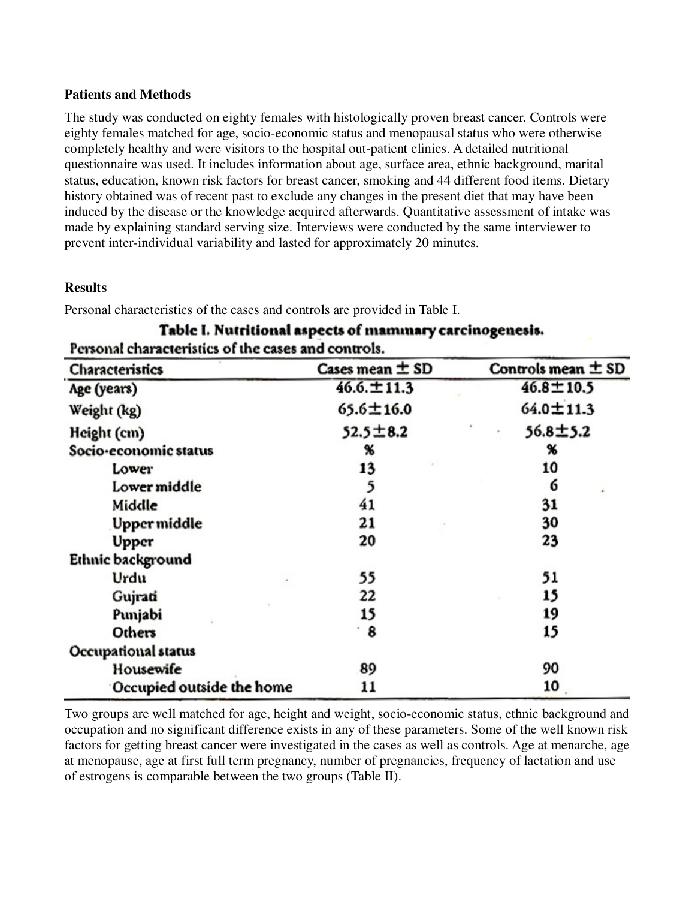#### **Patients and Methods**

The study was conducted on eighty females with histologically proven breast cancer. Controls were eighty females matched for age, socio-economic status and menopausal status who were otherwise completely healthy and were visitors to the hospital out-patient clinics. A detailed nutritional questionnaire was used. It includes information about age, surface area, ethnic background, marital status, education, known risk factors for breast cancer, smoking and 44 different food items. Dietary history obtained was of recent past to exclude any changes in the present diet that may have been induced by the disease or the knowledge acquired afterwards. Quantitative assessment of intake was made by explaining standard serving size. Interviews were conducted by the same interviewer to prevent inter-individual variability and lasted for approximately 20 minutes.

#### **Results**

Personal characteristics of the cases and controls are provided in Table I.

| <b>Characteristics</b>    | Cases mean $\pm$ SD | Controls mean $\pm$ SD |
|---------------------------|---------------------|------------------------|
| Age (years)               | $46.6 \pm 11.3$     | $46.8 \pm 10.5$        |
| Weight (kg)               | $65.6 \pm 16.0$     | $64.0 \pm 11.3$        |
| Height (cm)               | $52.5 \pm 8.2$      | 56.8±5.2               |
| Socio-economic status     | %                   | %                      |
| Lower                     | 13                  | 10                     |
| Low <b>er middle</b>      | 5                   | 6                      |
| Middle                    | 41                  | 31                     |
| Upper middle              | 21                  | 30                     |
| Upper                     | 20                  | 23                     |
| Ethnic background         |                     |                        |
| Urdu                      | 55                  | 51                     |
| Gujrati                   | 22                  | 15                     |
| Punjabi                   | 15                  | 19                     |
| Others                    | $\cdot$ 8           | 15                     |
| Occupational status       |                     |                        |
| Housewife                 | 89                  | 90                     |
| Occupied outside the home | 11                  | 10                     |

## Table I. Nutritional aspects of mammary carcinogenesis. Personal characteristics of the cases and controls.

Two groups are well matched for age, height and weight, socio-economic status, ethnic background and occupation and no significant difference exists in any of these parameters. Some of the well known risk factors for getting breast cancer were investigated in the cases as well as controls. Age at menarche, age at menopause, age at first full term pregnancy, number of pregnancies, frequency of lactation and use of estrogens is comparable between the two groups (Table II).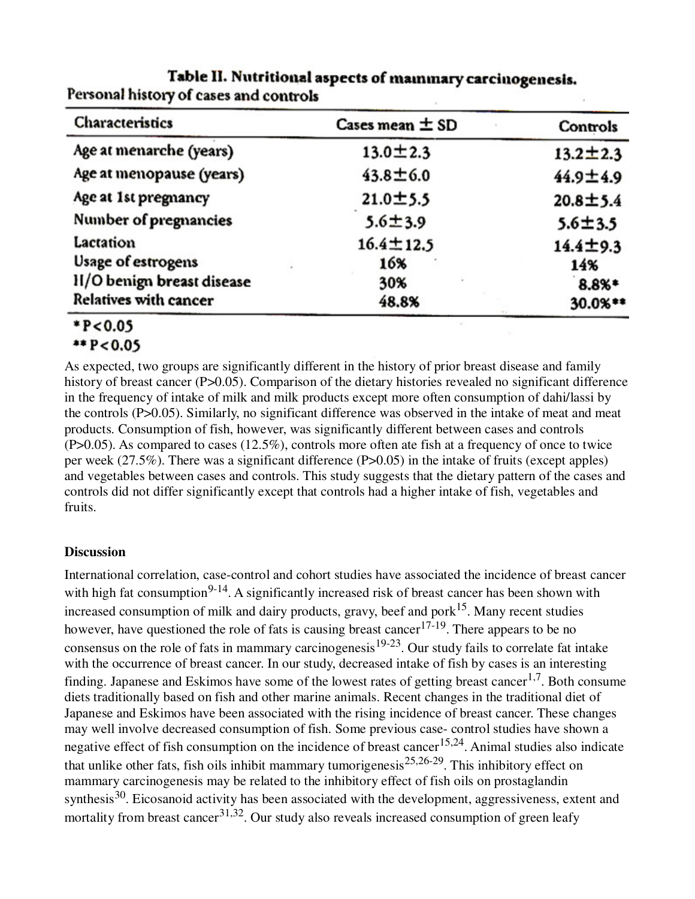| Characteristics            | Cases mean $\pm$ SD | Controls       |
|----------------------------|---------------------|----------------|
| Age at menarche (years)    | $13.0 \pm 2.3$      | $13.2 \pm 2.3$ |
| Age at menopause (years)   | $43.8 \pm 6.0$      | $44.9 \pm 4.9$ |
| Age at 1st pregnancy       | 21.0±5.5            | $20.8 + 5.4$   |
| Number of pregnancies      | $5.6 + 3.9$         | $5.6 + 3.5$    |
| Lactation                  | $16.4 \pm 12.5$     | $14.4 + 9.3$   |
| Usage of estrogens         | 16%                 | 14%            |
| II/O benign breast disease | 30%                 | 8.8%*          |
| Relatives with cancer      | 48.8%               | 30.0%**        |

### Table II. Nutritional aspects of mainmary carcinogenesis. Personal history of cases and controls

#### \*P<0.05  $*$  P<0.05

As expected, two groups are significantly different in the history of prior breast disease and family history of breast cancer (P>0.05). Comparison of the dietary histories revealed no significant difference in the frequency of intake of milk and milk products except more often consumption of dahi/lassi by the controls (P>0.05). Similarly, no significant difference was observed in the intake of meat and meat products. Consumption of fish, however, was significantly different between cases and controls (P>0.05). As compared to cases (12.5%), controls more often ate fish at a frequency of once to twice per week (27.5%). There was a significant difference (P>0.05) in the intake of fruits (except apples) and vegetables between cases and controls. This study suggests that the dietary pattern of the cases and controls did not differ significantly except that controls had a higher intake of fish, vegetables and fruits.

#### **Discussion**

International correlation, case-control and cohort studies have associated the incidence of breast cancer with high fat consumption<sup>9-14</sup>. A significantly increased risk of breast cancer has been shown with increased consumption of milk and dairy products, gravy, beef and pork<sup>15</sup>. Many recent studies however, have questioned the role of fats is causing breast cancer<sup>17-19</sup>. There appears to be no consensus on the role of fats in mammary carcinogenesis<sup>19-23</sup>. Our study fails to correlate fat intake with the occurrence of breast cancer. In our study, decreased intake of fish by cases is an interesting finding. Japanese and Eskimos have some of the lowest rates of getting breast cancer<sup>1,7</sup>. Both consume diets traditionally based on fish and other marine animals. Recent changes in the traditional diet of Japanese and Eskimos have been associated with the rising incidence of breast cancer. These changes may well involve decreased consumption of fish. Some previous case- control studies have shown a negative effect of fish consumption on the incidence of breast cancer<sup>15,24</sup>. Animal studies also indicate that unlike other fats, fish oils inhibit mammary tumorigenesis<sup>25,26-29</sup>. This inhibitory effect on mammary carcinogenesis may be related to the inhibitory effect of fish oils on prostaglandin synthesis<sup>30</sup>. Eicosanoid activity has been associated with the development, aggressiveness, extent and mortality from breast cancer<sup>31,32</sup>. Our study also reveals increased consumption of green leafy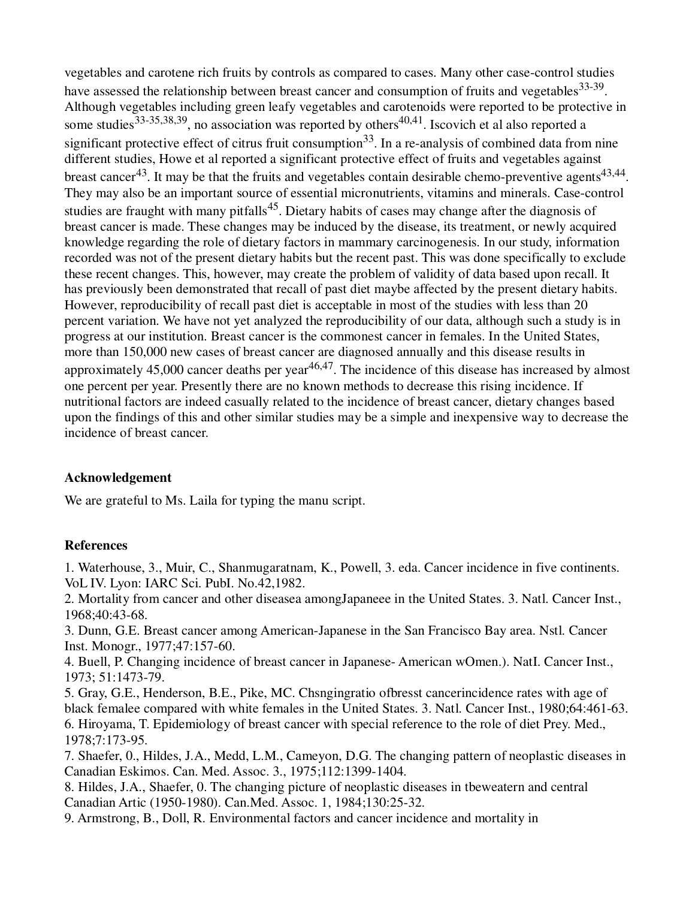vegetables and carotene rich fruits by controls as compared to cases. Many other case-control studies have assessed the relationship between breast cancer and consumption of fruits and vegetables<sup>33-39</sup>. Although vegetables including green leafy vegetables and carotenoids were reported to be protective in some studies<sup>33-35,38,39</sup>, no association was reported by others<sup>40,41</sup>. Iscovich et al also reported a significant protective effect of citrus fruit consumption<sup>33</sup>. In a re-analysis of combined data from nine different studies, Howe et al reported a significant protective effect of fruits and vegetables against breast cancer<sup>43</sup>. It may be that the fruits and vegetables contain desirable chemo-preventive agents<sup>43,44</sup>. They may also be an important source of essential micronutrients, vitamins and minerals. Case-control studies are fraught with many pitfalls<sup>45</sup>. Dietary habits of cases may change after the diagnosis of breast cancer is made. These changes may be induced by the disease, its treatment, or newly acquired knowledge regarding the role of dietary factors in mammary carcinogenesis. In our study, information recorded was not of the present dietary habits but the recent past. This was done specifically to exclude these recent changes. This, however, may create the problem of validity of data based upon recall. It has previously been demonstrated that recall of past diet maybe affected by the present dietary habits. However, reproducibility of recall past diet is acceptable in most of the studies with less than 20 percent variation. We have not yet analyzed the reproducibility of our data, although such a study is in progress at our institution. Breast cancer is the commonest cancer in females. In the United States, more than 150,000 new cases of breast cancer are diagnosed annually and this disease results in approximately 45,000 cancer deaths per year  $46,47$ . The incidence of this disease has increased by almost one percent per year. Presently there are no known methods to decrease this rising incidence. If nutritional factors are indeed casually related to the incidence of breast cancer, dietary changes based upon the findings of this and other similar studies may be a simple and inexpensive way to decrease the incidence of breast cancer.

#### **Acknowledgement**

We are grateful to Ms. Laila for typing the manu script.

#### **References**

1. Waterhouse, 3., Muir, C., Shanmugaratnam, K., Powell, 3. eda. Cancer incidence in five continents. VoL IV. Lyon: IARC Sci. PubI. No.42,1982.

2. Mortality from cancer and other diseasea amongJapaneee in the United States. 3. Natl. Cancer Inst., 1968;40:43-68.

3. Dunn, G.E. Breast cancer among American-Japanese in the San Francisco Bay area. Nstl. Cancer Inst. Monogr., 1977;47:157-60.

4. Buell, P. Changing incidence of breast cancer in Japanese- American wOmen.). NatI. Cancer Inst., 1973; 51:1473-79.

5. Gray, G.E., Henderson, B.E., Pike, MC. Chsngingratio ofbresst cancerincidence rates with age of black femalee compared with white females in the United States. 3. Natl. Cancer Inst., 1980;64:461-63. 6. Hiroyama, T. Epidemiology of breast cancer with special reference to the role of diet Prey. Med., 1978;7:173-95.

7. Shaefer, 0., Hildes, J.A., Medd, L.M., Cameyon, D.G. The changing pattern of neoplastic diseases in Canadian Eskimos. Can. Med. Assoc. 3., 1975;112:1399-1404.

8. Hildes, J.A., Shaefer, 0. The changing picture of neoplastic diseases in tbeweatern and central Canadian Artic (1950-1980). Can.Med. Assoc. 1, 1984;130:25-32.

9. Armstrong, B., Doll, R. Environmental factors and cancer incidence and mortality in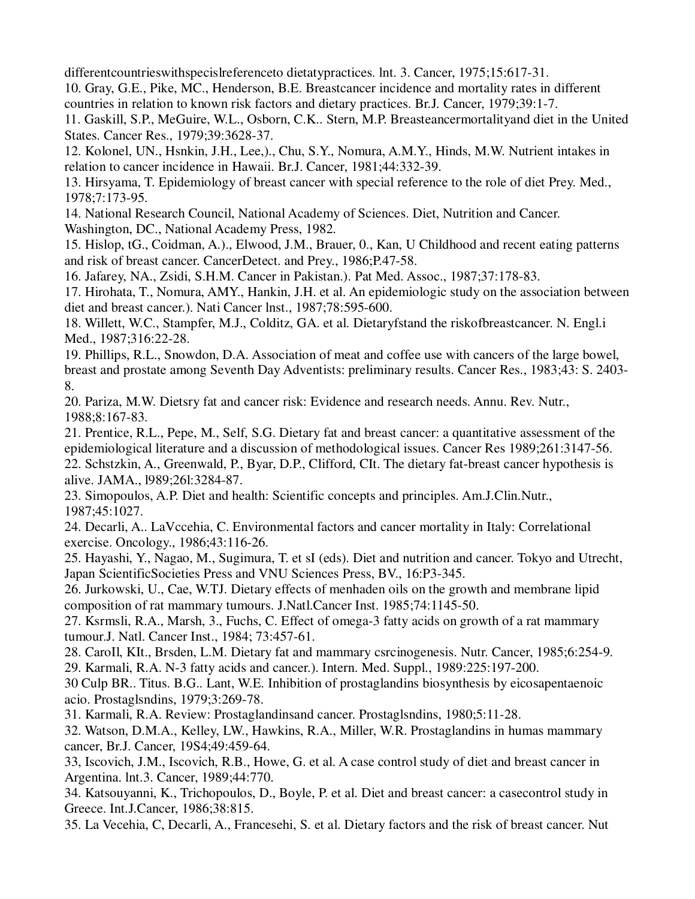differentcountrieswithspecislreferenceto dietatypractices. lnt. 3. Cancer, 1975;15:617-31.

10. Gray, G.E., Pike, MC., Henderson, B.E. Breastcancer incidence and mortality rates in different countries in relation to known risk factors and dietary practices. Br.J. Cancer, 1979;39:1-7.

11. Gaskill, S.P., MeGuire, W.L., Osborn, C.K.. Stern, M.P. Breasteancermortalityand diet in the United States. Cancer Res., 1979;39:3628-37.

12. Kolonel, UN., Hsnkin, J.H., Lee,)., Chu, S.Y., Nomura, A.M.Y., Hinds, M.W. Nutrient intakes in relation to cancer incidence in Hawaii. Br.J. Cancer, 1981;44:332-39.

13. Hirsyama, T. Epidemiology of breast cancer with special reference to the role of diet Prey. Med., 1978;7:173-95.

14. National Research Council, National Academy of Sciences. Diet, Nutrition and Cancer. Washington, DC., National Academy Press, 1982.

15. Hislop, tG., Coidman, A.)., Elwood, J.M., Brauer, 0., Kan, U Childhood and recent eating patterns and risk of breast cancer. CancerDetect. and Prey., 1986;P.47-58.

16. Jafarey, NA., Zsidi, S.H.M. Cancer in Pakistan.). Pat Med. Assoc., 1987;37:178-83.

17. Hirohata, T., Nomura, AMY., Hankin, J.H. et al. An epidemiologic study on the association between diet and breast cancer.). Nati Cancer lnst., 1987;78:595-600.

18. Willett, W.C., Stampfer, M.J., Colditz, GA. et al. Dietaryfstand the riskofbreastcancer. N. Engl.i Med., 1987;316:22-28.

19. Phillips, R.L., Snowdon, D.A. Association of meat and coffee use with cancers of the large bowel, breast and prostate among Seventh Day Adventists: preliminary results. Cancer Res., 1983;43: S. 2403- 8.

20. Pariza, M.W. Dietsry fat and cancer risk: Evidence and research needs. Annu. Rev. Nutr., 1988;8:167-83.

21. Prentice, R.L., Pepe, M., Self, S.G. Dietary fat and breast cancer: a quantitative assessment of the epidemiological literature and a discussion of methodological issues. Cancer Res 1989;261:3147-56. 22. Schstzkin, A., Greenwald, P., Byar, D.P., Clifford, CIt. The dietary fat-breast cancer hypothesis is alive. JAMA., l989;26l:3284-87.

23. Simopoulos, A.P. Diet and health: Scientific concepts and principles. Am.J.Clin.Nutr., 1987;45:1027.

24. Decarli, A.. LaVccehia, C. Environmental factors and cancer mortality in Italy: Correlational exercise. Oncology., 1986;43:116-26.

25. Hayashi, Y., Nagao, M., Sugimura, T. et sI (eds). Diet and nutrition and cancer. Tokyo and Utrecht, Japan ScientificSocieties Press and VNU Sciences Press, BV., 16:P3-345.

26. Jurkowski, U., Cae, W.TJ. Dietary effects of menhaden oils on the growth and membrane lipid composition of rat mammary tumours. J.Natl.Cancer Inst. 1985;74:1145-50.

27. Ksrmsli, R.A., Marsh, 3., Fuchs, C. Effect of omega-3 fatty acids on growth of a rat mammary tumour.J. Natl. Cancer Inst., 1984; 73:457-61.

28. CaroIl, KIt., Brsden, L.M. Dietary fat and mammary csrcinogenesis. Nutr. Cancer, 1985;6:254-9. 29. Karmali, R.A. N-3 fatty acids and cancer.). Intern. Med. Suppl., 1989:225:197-200.

30 Culp BR.. Titus. B.G.. Lant, W.E. Inhibition of prostaglandins biosynthesis by eicosapentaenoic acio. Prostaglsndins, 1979;3:269-78.

31. Karmali, R.A. Review: Prostaglandinsand cancer. Prostaglsndins, 1980;5:11-28.

32. Watson, D.M.A., Kelley, LW., Hawkins, R.A., Miller, W.R. Prostaglandins in humas mammary cancer, Br.J. Cancer, 19S4;49:459-64.

33, Iscovich, J.M., Iscovich, R.B., Howe, G. et al. A case control study of diet and breast cancer in Argentina. lnt.3. Cancer, 1989;44:770.

34. Katsouyanni, K., Trichopoulos, D., Boyle, P. et al. Diet and breast cancer: a casecontrol study in Greece. Int.J.Cancer, 1986;38:815.

35. La Vecehia, C, Decarli, A., Francesehi, S. et al. Dietary factors and the risk of breast cancer. Nut